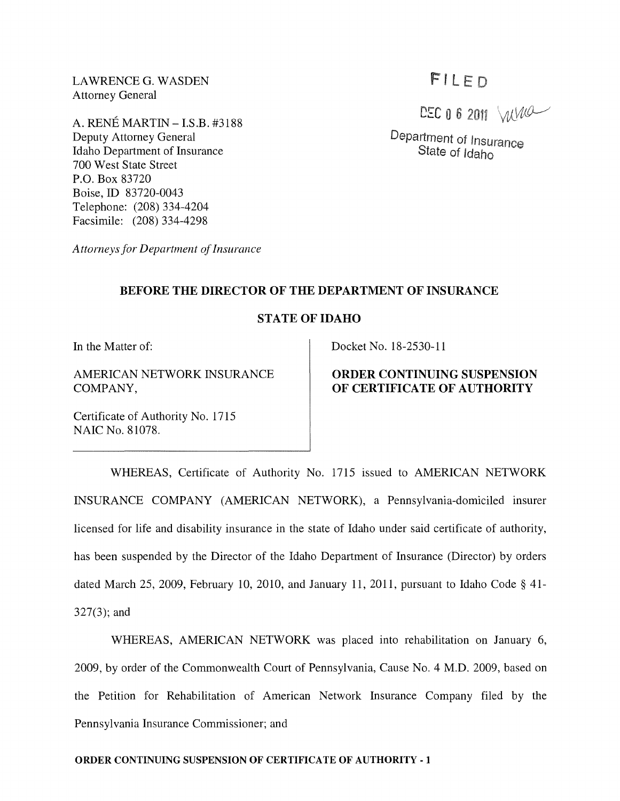LAWRENCEG. WASDEN Attorney General

A. RENE MARTIN - I.S.B. #3188 Deputy Attorney General Idaho Department of Insurance 700 West State Street P.O. Box 83720 Boise, ID 83720-0043 Telephone: (208) 334-4204 Facsimile: (208) 334-4298

*Attorneys for Department of Insurance* 

# FILED

DEC 0 6 2011  $MW^2$ 

Department of Insurance State of Idaho

#### **BEFORE THE DIRECTOR OF THE DEPARTMENT OF INSURANCE**

## STATE OF IDAHO

**In** the Matter of:

AMERICAN NETWORK INSURANCE COMPANY,

Certificate of Authority No. 1715 NAIC No. 81078.

Docket No. 18-2530-11

# **ORDER CONTINUING SUSPENSION OF CERTIFICATE OF AUTHORITY**

WHEREAS, Certificate of Authority No. 1715 issued to AMERICAN NETWORK INSURANCE COMPANY (AMERICAN NETWORK), a Pennsylvania-domiciled insurer licensed for life and disability insurance in the state of Idaho under said certificate of authority, has been suspended by the Director of the Idaho Department of Insurance (Director) by orders dated March 25, 2009, February 10, 2010, and January 11, 2011, pursuant to Idaho Code § 41- 327(3); and

WHEREAS, AMERICAN NETWORK was placed into rehabilitation on January 6, 2009, by order of the Commonwealth Court of Pennsylvania, Cause No.4 M.D. 2009, based on the Petition for Rehabilitation of American Network Insurance Company filed by the Pennsylvania Insurance Commissioner; and

#### **ORDER CONTINUING SUSPENSION OF CERTIFICATE OF AUTHORITY** - 1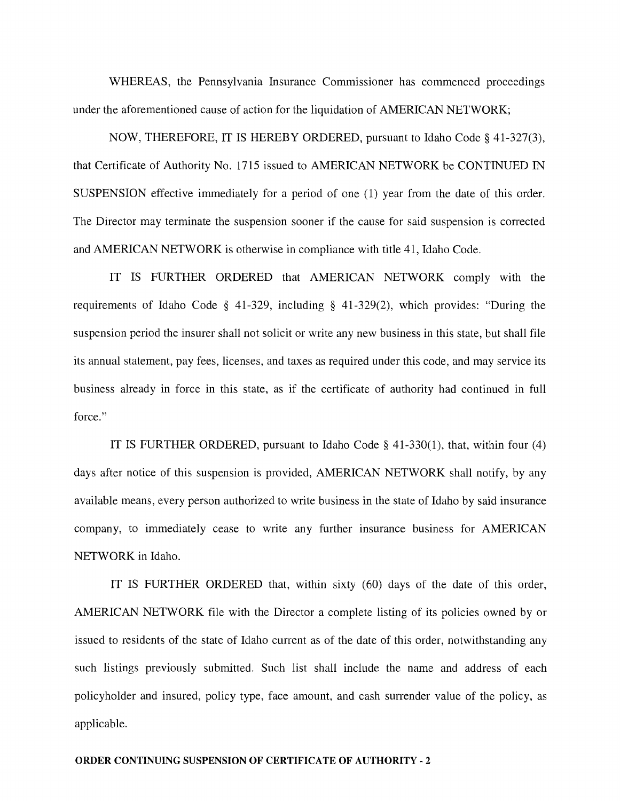WHEREAS, the Pennsylvania Insurance Commissioner has commenced proceedings under the aforementioned cause of action for the liquidation of AMERICAN NETWORK;

NOW, THEREFORE, IT IS HEREBY ORDERED, pursuant to Idaho Code § 41-327(3), that Certificate of Authority No. 1715 issued to AMERICAN NETWORK be CONTINUED IN SUSPENSION effective immediately for a period of one (1) year from the date of this order. The Director may terminate the suspension sooner if the cause for said suspension is corrected and AMERICAN NETWORK is otherwise in compliance with title 41, Idaho Code.

IT IS FURTHER ORDERED that AMERICAN NETWORK comply with the requirements of Idaho Code § 41-329, including § 41-329(2), which provides: "During the suspension period the insurer shall not solicit or write any new business in this state, but shall file its annual statement, pay fees, licenses, and taxes as required under this code, and may service its business already in force in this state, as if the certificate of authority had continued in full force."

IT IS FURTHER ORDERED, pursuant to Idaho Code § 41-330(1), that, within four (4) days after notice of this suspension is provided, AMERICAN NETWORK shall notify, by any available means, every person authorized to write business in the state of Idaho by said insurance company, to immediately cease to write any further insurance business for AMERICAN NETWORK in Idaho.

IT IS FURTHER ORDERED that, within sixty (60) days of the date of this order, AMERICAN NETWORK file with the Director a complete listing of its policies owned by or issued to residents of the state of Idaho current as of the date of this order, notwithstanding any such listings previously submitted. Such list shall include the name and address of each policyholder and insured, policy type, face amount, and cash surrender value of the policy, as applicable.

#### ORDER CONTINUING SUSPENSION OF CERTIFICATE OF AUTHORITY - 2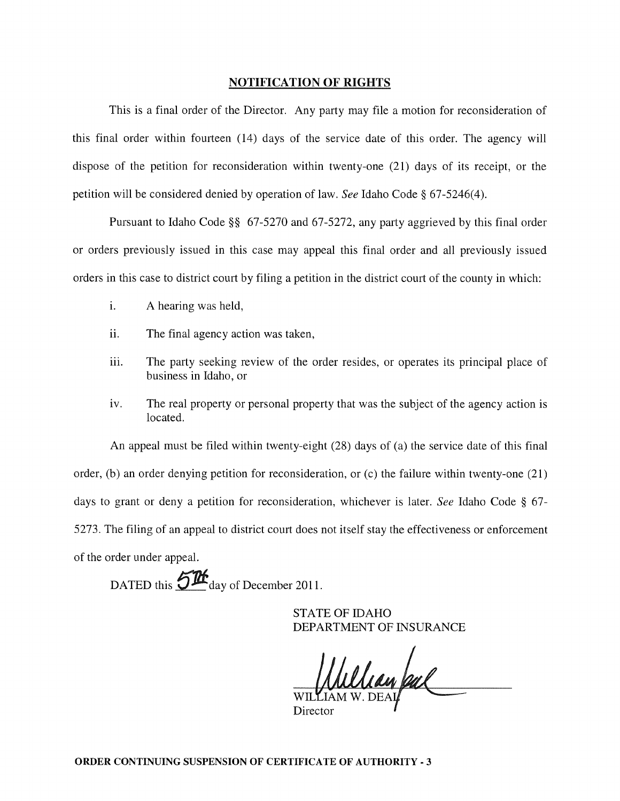#### NOTIFICATION OF RIGHTS

This is a final order of the Director. Any party may file a motion for reconsideration of this final order within fourteen (14) days of the service date of this order. The agency will dispose of the petition for reconsideration within twenty-one (21) days of its receipt, or the petition will be considered denied by operation of law. *See* Idaho Code § 67-5246(4).

Pursuant to Idaho Code §§ 67-5270 and 67-5272, any party aggrieved by this final order or orders previously issued in this case may appeal this final order and all previously issued orders in this case to district court by filing a petition in the district court of the county in which:

- i. A hearing was held,
- ii. The final agency action was taken,
- iii. The party seeking review of the order resides, or operates its principal place of business in Idaho, or
- iv. The real property or personal property that was the subject of the agency action is located.

An appeal must be filed within twenty-eight (28) days of (a) the service date of this final order, (b) an order denying petition for reconsideration, or (c) the failure within twenty-one (21) days to grant or deny a petition for reconsideration, whichever is later. *See* Idaho Code § 67- 5273. The filing of an appeal to district court does not itself stay the effectiveness or enforcement of the order under appeal.

DATED this  $5\frac{\text{m}}{\text{day}}$  of December 2011.

STATE OF IDAHO DEPARTMENT OF INSURANCE

Ulian pal

Director